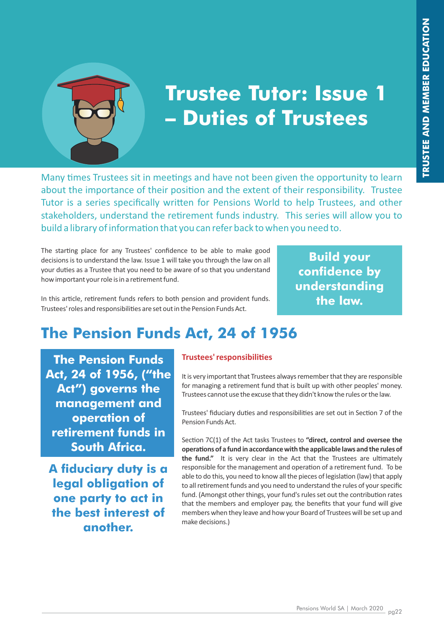

# **Trustee Tutor: Issue 1 – Duties of Trustees**

Many times Trustees sit in meetings and have not been given the opportunity to learn about the importance of their position and the extent of their responsibility. Trustee Tutor is a series specifically written for Pensions World to help Trustees, and other stakeholders, understand the retirement funds industry. This series will allow you to build a library of information that you can refer back to when you need to.

The starting place for any Trustees' confidence to be able to make good decisions is to understand the law. Issue 1 will take you through the law on all your duties as a Trustee that you need to be aware of so that you understand how important your role is in a retirement fund.

In this article, retirement funds refers to both pension and provident funds. Trustees' roles and responsibilities are set out in the Pension Funds Act.

**Build your confidence by understanding the law.**

# **The Pension Funds Act, 24 of 1956**

**The Pension Funds Act, 24 of 1956, ("the Act") governs the management and operation of retirement funds in South Africa.**

**A fiduciary duty is a legal obligation of one party to act in the best interest of another.**

#### **Trustees' responsibilies**

It is very important that Trustees always remember that they are responsible for managing a retirement fund that is built up with other peoples' money. Trustees cannot use the excuse that they didn't know the rules or the law.

Trustees' fiduciary duties and responsibilities are set out in Section 7 of the Pension Funds Act.

Section 7C(1) of the Act tasks Trustees to "direct, control and oversee the **operations of a fund in accordance with the applicable laws and the rules of** the fund." It is very clear in the Act that the Trustees are ultimately responsible for the management and operation of a retirement fund. To be able to do this, you need to know all the pieces of legislation (law) that apply to all retirement funds and you need to understand the rules of your specific fund. (Amongst other things, your fund's rules set out the contribution rates that the members and employer pay, the benefits that your fund will give members when they leave and how your Board of Trustees will be set up and make decisions.)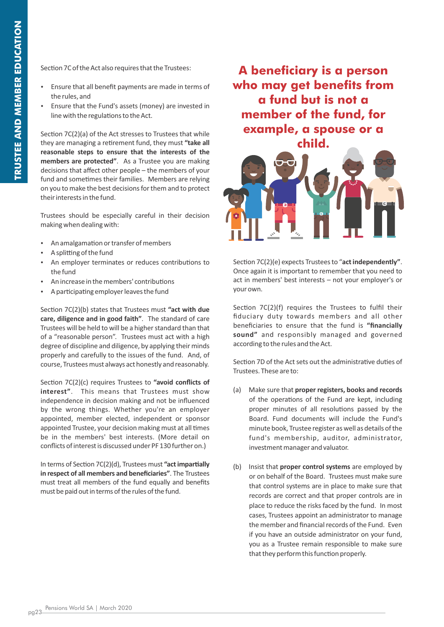Section 7C of the Act also requires that the Trustees:

- Ensure that all benefit payments are made in terms of the rules, and
- Ensure that the Fund's assets (money) are invested in line with the regulations to the Act.

Section  $7C(2)(a)$  of the Act stresses to Trustees that while they are managing a retirement fund, they must "take all **reasonable steps to ensure that the interests of the members are protected"**. As a Trustee you are making decisions that affect other people – the members of your fund and sometimes their families. Members are relying on you to make the best decisions for them and to protect their interests in the fund.

Trustees should be especially careful in their decision making when dealing with:

- An amalgamation or transfer of members
- A splitting of the fund
- An employer terminates or reduces contributions to the fund
- An increase in the members' contributions
- A participating employer leaves the fund

Section 7C(2)(b) states that Trustees must "act with due **care, diligence and in good faith"**. The standard of care Trustees will be held to will be a higher standard than that of a "reasonable person". Trustees must act with a high degree of discipline and diligence, by applying their minds properly and carefully to the issues of the fund. And, of course, Trustees must always act honestly and reasonably.

Section 7C(2)(c) requires Trustees to "avoid conflicts of **interest"**. This means that Trustees must show independence in decision making and not be influenced by the wrong things. Whether you're an employer appointed, member elected, independent or sponsor appointed Trustee, your decision making must at all times be in the members' best interests. (More detail on conflicts of interest is discussed under PF 130 further on.)

In terms of Section 7C(2)(d), Trustees must "act impartially **in respect of all members and beneficiaries"**. The Trustees must treat all members of the fund equally and benefits must be paid out in terms of the rules of the fund.

**A beneficiary is a person who may get benefits from a fund but is not a member of the fund, for example, a spouse or a child.**



Section 7C(2)(e) expects Trustees to "act independently". Once again it is important to remember that you need to act in members' best interests – not your employer's or your own.

Section  $7C(2)(f)$  requires the Trustees to fulfil their fiduciary duty towards members and all other beneficiaries to ensure that the fund is **"financially sound"** and responsibly managed and governed according to the rules and the Act.

Section 7D of the Act sets out the administrative duties of Trustees. These are to:

- (a) Make sure that **proper registers, books and records** of the operations of the Fund are kept, including proper minutes of all resolutions passed by the Board. Fund documents will include the Fund's minute book, Trustee register as well as details of the fund's membership, auditor, administrator, investment manager and valuator.
- (b) Insist that **proper control systems** are employed by or on behalf of the Board. Trustees must make sure that control systems are in place to make sure that records are correct and that proper controls are in place to reduce the risks faced by the fund. In most cases, Trustees appoint an administrator to manage the member and financial records of the Fund. Even if you have an outside administrator on your fund, you as a Trustee remain responsible to make sure that they perform this function properly.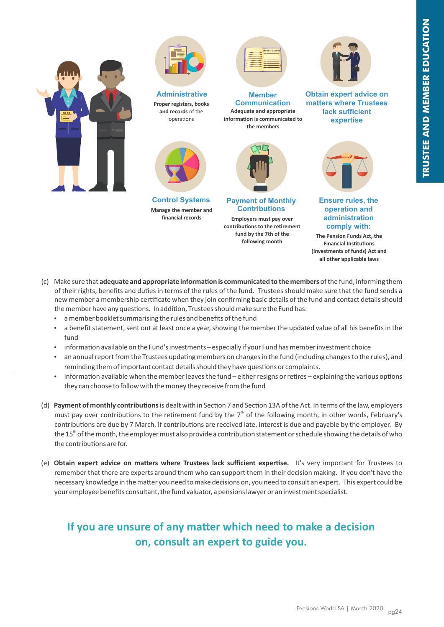



**Proper registers, books and records** of the operations **Administrative**



**Control Systems Manage the member and financial records** 



**Adequate and appropriate**  information is communicated to **the members Member Communication**



**Payment of Monthly Contributions Employers must pay over**  contributions to the retirement **fund by the 7th of the following month**



**Obtain expert advice on matters where Trustees lack sufficient expertise**



**Ensure rules, the operation and administration comply with:**

**The Pension Funds Act, the Financial Institutions (Investments of funds) Act and all other applicable laws**

- (c) Make sure that **adequate and appropriate information is communicated to the members** of the fund, informing them of their rights, benefits and duties in terms of the rules of the fund. Trustees should make sure that the fund sends a new member a membership cerficate when they join confirming basic details of the fund and contact details should the member have any questions. In addition, Trustees should make sure the Fund has:
	- a member booklet summarising the rules and benefits of the fund
	- a benefit statement, sent out at least once a year, showing the member the updated value of all his benefits in the fund
	- information available on the Fund's investments especially if your Fund has member investment choice
	- an annual report from the Trustees updating members on changes in the fund (including changes to the rules), and reminding them of important contact details should they have questions or complaints.
	- information available when the member leaves the fund either resigns or retires explaining the various options they can choose to follow with the money they receive from the fund
- (d) Payment of monthly contributions is dealt with in Section 7 and Section 13A of the Act. In terms of the law, employers must pay over contributions to the retirement fund by the  $7<sup>th</sup>$  of the following month, in other words, February's contributions are due by 7 March. If contributions are received late, interest is due and payable by the employer. By the 15<sup>th</sup> of the month, the employer must also provide a contribution statement or schedule showing the details of who the contributions are for.
- (e) Obtain expert advice on matters where Trustees lack sufficient expertise. It's very important for Trustees to remember that there are experts around them who can support them in their decision making. If you don't have the necessary knowledge in the matter you need to make decisions on, you need to consult an expert. This expert could be your employee benefits consultant, the fund valuator, a pensions lawyer or an investment specialist.

## **If you are unsure of any matter which need to make a decision on, consult an expert to guide you.**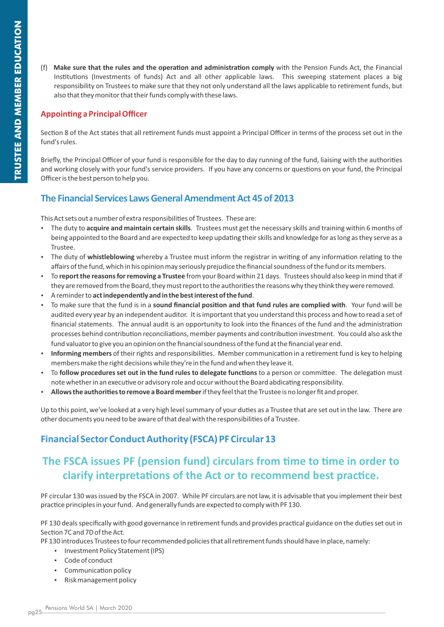(f) Make sure that the rules and the operation and administration comply with the Pension Funds Act, the Financial Institutions (Investments of funds) Act and all other applicable laws. This sweeping statement places a big responsibility on Trustees to make sure that they not only understand all the laws applicable to retirement funds, but also that they monitor that their funds comply with these laws.

#### **Appoinng a Principal Officer**

Section 8 of the Act states that all retirement funds must appoint a Principal Officer in terms of the process set out in the fund's rules.

Briefly, the Principal Officer of your fund is responsible for the day to day running of the fund, liaising with the authorities and working closely with your fund's service providers. If you have any concerns or questions on your fund, the Principal Officer is the best person to help you.

#### **The Financial Services Laws General Amendment Act 45 of 2013**

This Act sets out a number of extra responsibilities of Trustees. These are:

- \* The duty to acquire and maintain certain skills. Trustees must get the necessary skills and training within 6 months of being appointed to the Board and are expected to keep updating their skills and knowledge for as long as they serve as a Trustee.
- The duty of whistleblowing whereby a Trustee must inform the registrar in writing of any information relating to the affairs of the fund, which in his opinion may seriously prejudice the financial soundness of the fund or its members.
- Ÿ To **report the reasons for removing a Trustee** from your Board within 21 days. Trustees should also keep in mind that if they are removed from the Board, they must report to the authorities the reasons why they think they were removed.
- A reminder to act independently and in the best interest of the fund.
- To make sure that the fund is in a sound financial position and that fund rules are complied with. Your fund will be audited every year by an independent auditor. It is important that you understand this process and how to read a set of financial statements. The annual audit is an opportunity to look into the finances of the fund and the administration processes behind contribution reconciliations, member payments and contribution investment. You could also ask the fund valuator to give you an opinion on the financial soundness of the fund at the financial year end.
- Informing members of their rights and responsibilities. Member communication in a retirement fund is key to helping members make the right decisions while they're in the fund and when they leave it.
- To **follow procedures set out in the fund rules to delegate functions** to a person or committee. The delegation must note whether in an executive or advisory role and occur without the Board abdicating responsibility.
- Allows the authorities to remove a Board member if they feel that the Trustee is no longer fit and proper.

Up to this point, we've looked at a very high level summary of your duties as a Trustee that are set out in the law. There are other documents you need to be aware of that deal with the responsibilities of a Trustee.

#### **Financial Sector Conduct Authority (FSCA) PF Circular 13**

# The FSCA issues PF (pension fund) circulars from time to time in order to **clarify interpretations of the Act or to recommend best practice.**

PF circular 130 was issued by the FSCA in 2007. While PF circulars are not law, it is advisable that you implement their best practice principles in your fund. And generally funds are expected to comply with PF 130.

PF 130 deals specifically with good governance in retirement funds and provides practical guidance on the duties set out in Section 7C and 7D of the Act.

PF 130 introduces Trustees to four recommended policies that all retirement funds should have in place, namely:

- Investment Policy Statement (IPS)
- $\cdot$  Code of conduct
- Communication policy
- Risk management policy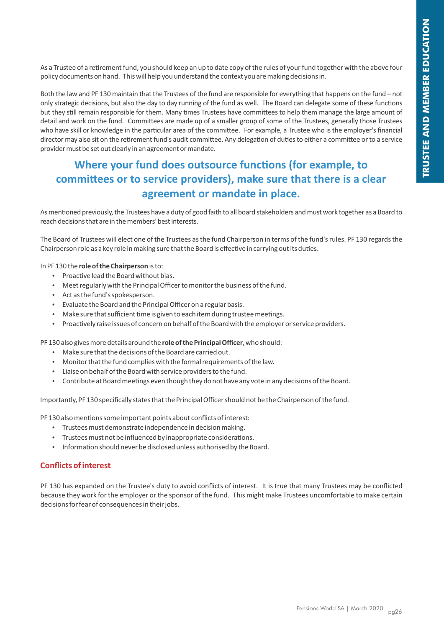As a Trustee of a retirement fund, you should keep an up to date copy of the rules of your fund together with the above four policy documents on hand. This will help you understand the context you are making decisions in.

Both the law and PF 130 maintain that the Trustees of the fund are responsible for everything that happens on the fund – not only strategic decisions, but also the day to day running of the fund as well. The Board can delegate some of these functions but they still remain responsible for them. Many times Trustees have committees to help them manage the large amount of detail and work on the fund. Committees are made up of a smaller group of some of the Trustees, generally those Trustees who have skill or knowledge in the particular area of the committee. For example, a Trustee who is the employer's financial director may also sit on the retirement fund's audit committee. Any delegation of duties to either a committee or to a service provider must be set out clearly in an agreement or mandate.

## **Where your fund does outsource functions (for example, to** committees or to service providers), make sure that there is a clear **agreement or mandate in place.**

As mentioned previously, the Trustees have a duty of good faith to all board stakeholders and must work together as a Board to reach decisions that are in the members' best interests.

The Board of Trustees will elect one of the Trustees as the fund Chairperson in terms of the fund's rules. PF 130 regards the Chairperson role as a key role in making sure that the Board is effective in carrying out its duties.

In PF 130 the **role of the Chairperson** is to:

- Proactive lead the Board without bias.
- Meet regularly with the Principal Officer to monitor the business of the fund.
- Act as the fund's spokesperson.
- Evaluate the Board and the Principal Officer on a regular basis.
- Make sure that sufficient time is given to each item during trustee meetings.
- Proactively raise issues of concern on behalf of the Board with the employer or service providers.

PF 130 also gives more details around the **role of the Principal Officer**, who should:

- $\bullet$  Make sure that the decisions of the Board are carried out.
- Monitor that the fund complies with the formal requirements of the law.
- $\cdot$  Liaise on behalf of the Board with service providers to the fund.
- Contribute at Board meetings even though they do not have any vote in any decisions of the Board.

Importantly, PF 130 specifically states that the Principal Officer should not be the Chairperson of the fund.

PF 130 also mentions some important points about conflicts of interest:

- $\cdot$  Trustees must demonstrate independence in decision making.
- Trustees must not be influenced by inappropriate considerations.
- Information should never be disclosed unless authorised by the Board.

#### **Conflicts of interest**

PF 130 has expanded on the Trustee's duty to avoid conflicts of interest. It is true that many Trustees may be conflicted because they work for the employer or the sponsor of the fund. This might make Trustees uncomfortable to make certain decisions for fear of consequences in their jobs.